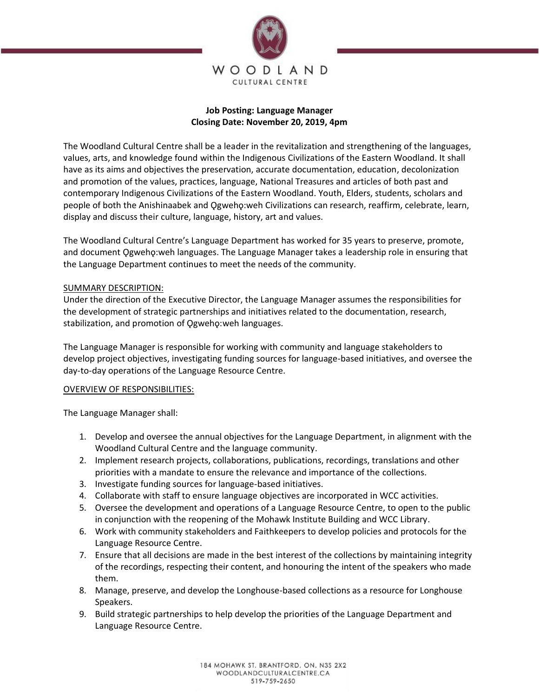

## **Job Posting: Language Manager Closing Date: November 20, 2019, 4pm**

The Woodland Cultural Centre shall be a leader in the revitalization and strengthening of the languages, values, arts, and knowledge found within the Indigenous Civilizations of the Eastern Woodland. It shall have as its aims and objectives the preservation, accurate documentation, education, decolonization and promotion of the values, practices, language, National Treasures and articles of both past and contemporary Indigenous Civilizations of the Eastern Woodland. Youth, Elders, students, scholars and people of both the Anishinaabek and Ogweho:weh Civilizations can research, reaffirm, celebrate, learn, display and discuss their culture, language, history, art and values.

The Woodland Cultural Centre's Language Department has worked for 35 years to preserve, promote, and document Ogweho:weh languages. The Language Manager takes a leadership role in ensuring that the Language Department continues to meet the needs of the community.

## SUMMARY DESCRIPTION:

Under the direction of the Executive Director, the Language Manager assumes the responsibilities for the development of strategic partnerships and initiatives related to the documentation, research, stabilization, and promotion of Qgweho:weh languages.

The Language Manager is responsible for working with community and language stakeholders to develop project objectives, investigating funding sources for language-based initiatives, and oversee the day-to-day operations of the Language Resource Centre.

## OVERVIEW OF RESPONSIBILITIES:

The Language Manager shall:

- 1. Develop and oversee the annual objectives for the Language Department, in alignment with the Woodland Cultural Centre and the language community.
- 2. Implement research projects, collaborations, publications, recordings, translations and other priorities with a mandate to ensure the relevance and importance of the collections.
- 3. Investigate funding sources for language-based initiatives.
- 4. Collaborate with staff to ensure language objectives are incorporated in WCC activities.
- 5. Oversee the development and operations of a Language Resource Centre, to open to the public in conjunction with the reopening of the Mohawk Institute Building and WCC Library.
- 6. Work with community stakeholders and Faithkeepers to develop policies and protocols for the Language Resource Centre.
- 7. Ensure that all decisions are made in the best interest of the collections by maintaining integrity of the recordings, respecting their content, and honouring the intent of the speakers who made them.
- 8. Manage, preserve, and develop the Longhouse-based collections as a resource for Longhouse Speakers.
- 9. Build strategic partnerships to help develop the priorities of the Language Department and Language Resource Centre.